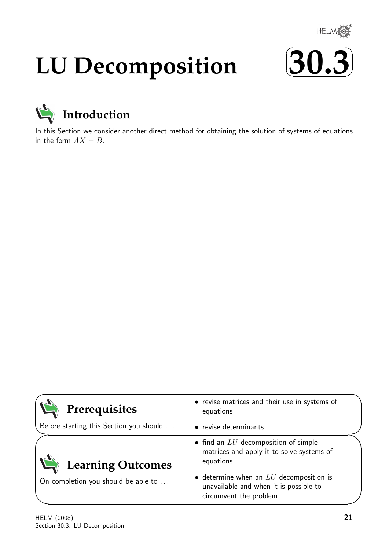

# **LU Decomposition**





In this Section we consider another direct method for obtaining the solution of systems of equations in the form  $AX = B$ .

| Prerequisites                           | • revise matrices and their use in systems of<br>equations                                                    |  |
|-----------------------------------------|---------------------------------------------------------------------------------------------------------------|--|
| Before starting this Section you should | • revise determinants                                                                                         |  |
| <b>Learning Outcomes</b>                | • find an $LU$ decomposition of simple<br>matrices and apply it to solve systems of<br>equations              |  |
| On completion you should be able to     | • determine when an $LU$ decomposition is<br>unavailable and when it is possible to<br>circumvent the problem |  |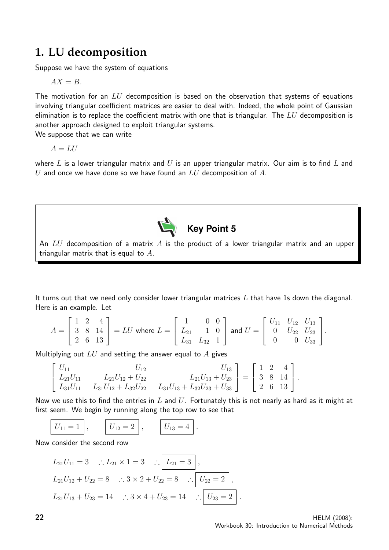# **1. LU decomposition**

Suppose we have the system of equations

 $AX = B$ .

The motivation for an  $LU$  decomposition is based on the observation that systems of equations involving triangular coefficient matrices are easier to deal with. Indeed, the whole point of Gaussian elimination is to replace the coefficient matrix with one that is triangular. The  $LU$  decomposition is another approach designed to exploit triangular systems.

We suppose that we can write

 $A = LU$ 

where  $L$  is a lower triangular matrix and  $U$  is an upper triangular matrix. Our aim is to find  $L$  and  $U$  and once we have done so we have found an  $LU$  decomposition of  $A$ .



An  $LU$  decomposition of a matrix  $A$  is the product of a lower triangular matrix and an upper triangular matrix that is equal to A.

It turns out that we need only consider lower triangular matrices  $L$  that have 1s down the diagonal. Here is an example. Let

$$
A = \begin{bmatrix} 1 & 2 & 4 \\ 3 & 8 & 14 \\ 2 & 6 & 13 \end{bmatrix} = LU \text{ where } L = \begin{bmatrix} 1 & 0 & 0 \\ L_{21} & 1 & 0 \\ L_{31} & L_{32} & 1 \end{bmatrix} \text{ and } U = \begin{bmatrix} U_{11} & U_{12} & U_{13} \\ 0 & U_{22} & U_{23} \\ 0 & 0 & U_{33} \end{bmatrix}.
$$

Multiplying out  $LU$  and setting the answer equal to  $A$  gives

$$
\begin{bmatrix} U_{11} & U_{12} & U_{13} \ L_{21}U_{11} & L_{21}U_{12} + U_{22} & L_{21}U_{13} + U_{23} \ L_{31}U_{11} & L_{31}U_{12} + L_{32}U_{22} & L_{31}U_{13} + L_{32}U_{23} + U_{33} \end{bmatrix} = \begin{bmatrix} 1 & 2 & 4 \ 3 & 8 & 14 \ 2 & 6 & 13 \end{bmatrix}.
$$

Now we use this to find the entries in  $L$  and  $U$ . Fortunately this is not nearly as hard as it might at first seem. We begin by running along the top row to see that

$$
U_{11} = 1
$$
,  $U_{12} = 2$ ,  $U_{13} = 4$ .

Now consider the second row

$$
L_{21}U_{11} = 3 \quad \therefore L_{21} \times 1 = 3 \quad \therefore \boxed{L_{21} = 3},
$$
  
\n
$$
L_{21}U_{12} + U_{22} = 8 \quad \therefore 3 \times 2 + U_{22} = 8 \quad \therefore \boxed{U_{22} = 2},
$$
  
\n
$$
L_{21}U_{13} + U_{23} = 14 \quad \therefore 3 \times 4 + U_{23} = 14 \quad \therefore \boxed{U_{23} = 2}.
$$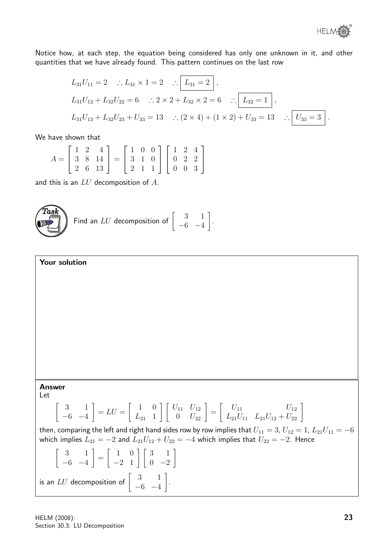

Notice how, at each step, the equation being considered has only one unknown in it, and other quantities that we have already found. This pattern continues on the last row

$$
L_{31}U_{11} = 2 \quad \therefore L_{31} \times 1 = 2 \quad \therefore \boxed{L_{31} = 2},
$$
  
\n
$$
L_{31}U_{12} + L_{32}U_{22} = 6 \quad \therefore 2 \times 2 + L_{32} \times 2 = 6 \quad \therefore \boxed{L_{32} = 1},
$$
  
\n
$$
L_{31}U_{13} + L_{32}U_{23} + U_{33} = 13 \quad \therefore (2 \times 4) + (1 \times 2) + U_{33} = 13 \quad \therefore \boxed{U_{33} = 3}.
$$

We have shown that

$$
A = \begin{bmatrix} 1 & 2 & 4 \\ 3 & 8 & 14 \\ 2 & 6 & 13 \end{bmatrix} = \begin{bmatrix} 1 & 0 & 0 \\ 3 & 1 & 0 \\ 2 & 1 & 1 \end{bmatrix} \begin{bmatrix} 1 & 2 & 4 \\ 0 & 2 & 2 \\ 0 & 0 & 3 \end{bmatrix}
$$

and this is an  $LU$  decomposition of  $A$ .

**Task**  
**Find an** *LU* decomposition of 
$$
\begin{bmatrix} 3 & 1 \ -6 & -4 \end{bmatrix}
$$
.

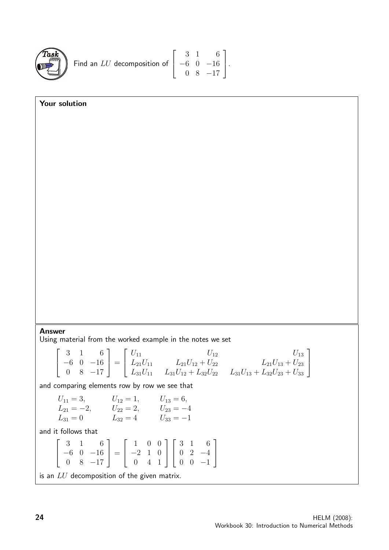

Your solution

Find an *LU* decomposition of 
$$
\begin{bmatrix} 3 & 1 & 6 \ -6 & 0 & -16 \ 0 & 8 & -17 \end{bmatrix}.
$$

Answer

Using material from the worked example in the notes we set

$$
\begin{bmatrix} 3 & 1 & 6 \ -6 & 0 & -16 \ 0 & 8 & -17 \end{bmatrix} = \begin{bmatrix} U_{11} & U_{12} & U_{13} \ L_{21}U_{11} & L_{21}U_{12} + U_{22} & L_{21}U_{13} + U_{23} \ L_{31}U_{11} & L_{31}U_{12} + L_{32}U_{22} & L_{31}U_{13} + L_{32}U_{23} + U_{33} \end{bmatrix}
$$

and comparing elements row by row we see that

| $U_{11} = 3,$ | $U_{12}=1,$ | $U_{13}=6,$   |
|---------------|-------------|---------------|
| $L_{21}=-2,$  | $U_{22}=2,$ | $U_{23} = -4$ |
| $L_{31}=0$    | $L_{32}=4$  | $U_{33} = -1$ |

and it follows that

$$
\begin{bmatrix} 3 & 1 & 6 \ -6 & 0 & -16 \ 0 & 8 & -17 \end{bmatrix} = \begin{bmatrix} 1 & 0 & 0 \ -2 & 1 & 0 \ 0 & 4 & 1 \end{bmatrix} \begin{bmatrix} 3 & 1 & 6 \ 0 & 2 & -4 \ 0 & 0 & -1 \end{bmatrix}
$$
  
is an *LU* decomposition of the given matrix.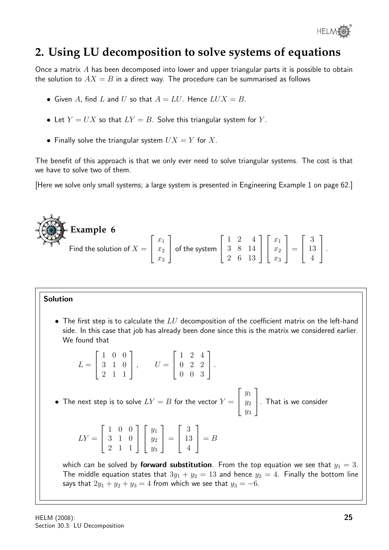

# **2. Using LU decomposition to solve systems of equations**

Once a matrix A has been decomposed into lower and upper triangular parts it is possible to obtain the solution to  $AX = B$  in a direct way. The procedure can be summarised as follows

- Given A, find L and U so that  $A = LU$ . Hence  $LUX = B$ .
- Let  $Y = UX$  so that  $LY = B$ . Solve this triangular system for Y.
- Finally solve the triangular system  $UX = Y$  for X.

The benefit of this approach is that we only ever need to solve triangular systems. The cost is that we have to solve two of them.

[Here we solve only small systems; a large system is presented in Engineering Example 1 on page 62.]

**Example 6**  
Find the solution of 
$$
X = \begin{bmatrix} x_1 \\ x_2 \\ x_3 \end{bmatrix}
$$
 of the system  $\begin{bmatrix} 1 & 2 & 4 \\ 3 & 8 & 14 \\ 2 & 6 & 13 \end{bmatrix} \begin{bmatrix} x_1 \\ x_2 \\ x_3 \end{bmatrix} = \begin{bmatrix} 3 \\ 13 \\ 4 \end{bmatrix}$ .

#### Solution

 $\bullet$  The first step is to calculate the  $LU$  decomposition of the coefficient matrix on the left-hand side. In this case that job has already been done since this is the matrix we considered earlier. We found that

 $L =$  $\sqrt{ }$  $\overline{1}$ 1 0 0 3 1 0 2 1 1 1  $\Big\vert \ , \qquad U =$  $\sqrt{ }$  $\overline{\phantom{a}}$ 1 2 4 0 2 2 0 0 3 1  $\vert \cdot$  $\bullet\,$  The next step is to solve  $LY = B$  for the vector  $Y =$  $\sqrt{ }$  $\overline{\phantom{a}}$  $y_1$  $y_2$  $y_3$ 1  $\vert$  . That is we consider  $LY =$  $\sqrt{ }$  $\overline{\phantom{a}}$ 1 0 0 3 1 0 2 1 1 1  $\overline{1}$  $\sqrt{ }$  $\overline{\phantom{a}}$  $y_1$  $y_2$  $y_3$ 1  $\Big| =$  $\sqrt{ }$  $\overline{\phantom{a}}$ 3 13 4 1  $\Big| = B$ which can be solved by **forward substitution**. From the top equation we see that  $y_1 = 3$ . The middle equation states that  $3y_1 + y_2 = 13$  and hence  $y_2 = 4$ . Finally the bottom line

says that  $2y_1 + y_2 + y_3 = 4$  from which we see that  $y_3 = -6$ .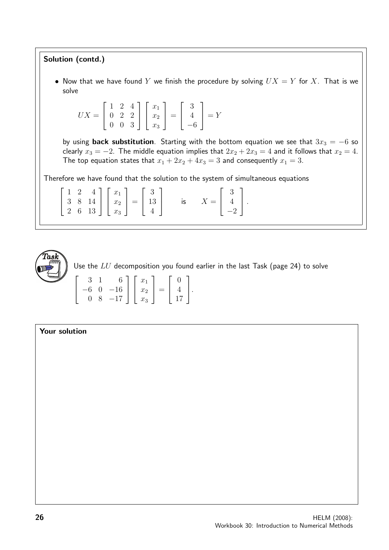#### Solution (contd.)

• Now that we have found Y we finish the procedure by solving  $UX = Y$  for X. That is we solve

$$
UX = \begin{bmatrix} 1 & 2 & 4 \\ 0 & 2 & 2 \\ 0 & 0 & 3 \end{bmatrix} \begin{bmatrix} x_1 \\ x_2 \\ x_3 \end{bmatrix} = \begin{bmatrix} 3 \\ 4 \\ -6 \end{bmatrix} = Y
$$

by using back substitution. Starting with the bottom equation we see that  $3x_3 = -6$  so clearly  $x_3 = -2$ . The middle equation implies that  $2x_2 + 2x_3 = 4$  and it follows that  $x_2 = 4$ . The top equation states that  $x_1 + 2x_2 + 4x_3 = 3$  and consequently  $x_1 = 3$ .

Therefore we have found that the solution to the system of simultaneous equations

|  | $\begin{bmatrix} 1 & 2 & 4 \\ 3 & 8 & 14 \\ 2 & 6 & 13 \end{bmatrix} \begin{bmatrix} x_1 \\ x_2 \\ x_3 \end{bmatrix} = \begin{bmatrix} 3 \\ 13 \\ 4 \end{bmatrix}$ |  |  | is $X = \begin{bmatrix} 3 \\ 4 \\ -2 \end{bmatrix}$ . |  |
|--|--------------------------------------------------------------------------------------------------------------------------------------------------------------------|--|--|-------------------------------------------------------|--|
|  |                                                                                                                                                                    |  |  |                                                       |  |



Use the  $LU$  decomposition you found earlier in the last Task (page 24) to solve

|  |                          | $6 \mid x_1$ | $\Omega$                                  |  |
|--|--------------------------|--------------|-------------------------------------------|--|
|  | $-6$ 0 $-16$   $x_2$   = |              | $\begin{pmatrix} 4 \\ 17 \end{pmatrix}$ . |  |
|  | $0 \t8 \t-17 \t x_3$     |              |                                           |  |

#### Your solution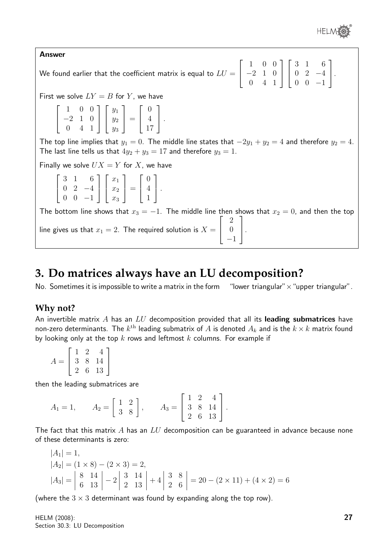

#### Answer We found earlier that the coefficient matrix is equal to  $LU=\,$  $\sqrt{ }$  $\overline{\phantom{a}}$ 1 0 0 −2 1 0 0 4 1 1  $\overline{1}$  $\sqrt{ }$  $\overline{\phantom{a}}$ 3 1 6 0 2 −4  $0 \t 0 \t -1$ 1  $\vert \cdot$ First we solve  $LY = B$  for Y, we have  $\sqrt{ }$  $\vert$ 1 0 0 −2 1 0 0 4 1 1  $\overline{1}$  $\sqrt{ }$  $\overline{\phantom{a}}$  $y_1$  $y_2$  $y_3$ 1  $\Big\} =$  $\sqrt{ }$  $\overline{\phantom{a}}$ 0 4 17 1  $\vert \cdot$ The top line implies that  $y_1 = 0$ . The middle line states that  $-2y_1 + y_2 = 4$  and therefore  $y_2 = 4$ . The last line tells us that  $4y_2 + y_3 = 17$  and therefore  $y_3 = 1$ . Finally we solve  $UX = Y$  for X, we have  $\sqrt{ }$  $\vert$ 3 1 6 0 2 −4  $0 \t 0 \t -1$ 1  $\overline{1}$  $\sqrt{ }$  $\overline{\phantom{a}}$  $\overline{x}_1$  $\overline{x_2}$  $\overline{x_3}$ 1  $\Big\} =$  $\sqrt{ }$  $\overline{\phantom{a}}$  $\overline{0}$ 4 1 1  $\vert \cdot$ The bottom line shows that  $x_3 = -1$ . The middle line then shows that  $x_2 = 0$ , and then the top line gives us that  $x_1 = 2$ . The required solution is  $X =$  $\sqrt{ }$  $\overline{\phantom{a}}$ 2 0 −1 1  $\vert \cdot$

## **3. Do matrices always have an LU decomposition?**

No. Sometimes it is impossible to write a matrix in the form "lower triangular" $\times$  "upper triangular".

### **Why not?**

An invertible matrix A has an  $LU$  decomposition provided that all its leading submatrices have non-zero determinants. The  $k^\text{th}$  leading submatrix of  $A$  is denoted  $A_k$  and is the  $k\times k$  matrix found by looking only at the top  $k$  rows and leftmost  $k$  columns. For example if

|              | $\ddot{\phantom{0}}$ |    |  |
|--------------|----------------------|----|--|
| 3            | 8.                   | 14 |  |
| $\mathbf{z}$ | 6                    | 13 |  |

then the leading submatrices are

$$
A_1 = 1,
$$
  $A_2 = \begin{bmatrix} 1 & 2 \\ 3 & 8 \end{bmatrix},$   $A_3 = \begin{bmatrix} 1 & 2 & 4 \\ 3 & 8 & 14 \\ 2 & 6 & 13 \end{bmatrix}.$ 

The fact that this matrix A has an  $LU$  decomposition can be guaranteed in advance because none of these determinants is zero:

$$
|A_1| = 1,
$$
  
\n
$$
|A_2| = (1 \times 8) - (2 \times 3) = 2,
$$
  
\n
$$
|A_3| = \begin{vmatrix} 8 & 14 \\ 6 & 13 \end{vmatrix} - 2 \begin{vmatrix} 3 & 14 \\ 2 & 13 \end{vmatrix} + 4 \begin{vmatrix} 3 & 8 \\ 2 & 6 \end{vmatrix} = 20 - (2 \times 11) + (4 \times 2) = 6
$$

(where the  $3 \times 3$  determinant was found by expanding along the top row).

HELM (2008): Section 30.3: LU Decomposition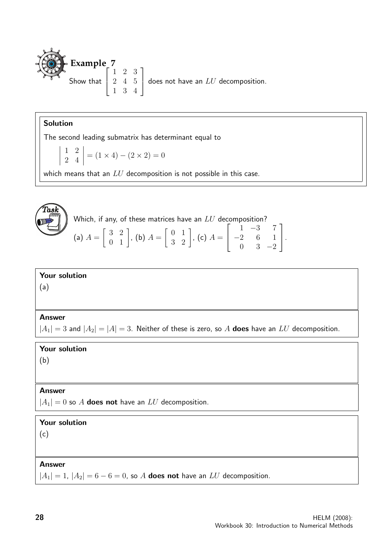**Example 7**  
Show that 
$$
\begin{bmatrix} 1 & 2 & 3 \ 2 & 4 & 5 \ 1 & 3 & 4 \end{bmatrix}
$$
 does not have an LU decomposition.

#### Solution

 $\overline{\phantom{a}}$  $\bigg\}$  $\bigg\}$  $\overline{\phantom{a}}$ 

The second leading submatrix has determinant equal to

$$
\begin{vmatrix} 1 & 2 \\ 2 & 4 \end{vmatrix} = (1 \times 4) - (2 \times 2) = 0
$$

which means that an  $LU$  decomposition is not possible in this case.

**Task**

\n(a) 
$$
A = \begin{bmatrix} 3 & 2 \\ 0 & 1 \end{bmatrix}
$$
, (b)  $A = \begin{bmatrix} 0 & 1 \\ 3 & 2 \end{bmatrix}$ , (c)  $A = \begin{bmatrix} 1 & -3 & 7 \\ -2 & 6 & 1 \\ 0 & 3 & -2 \end{bmatrix}$ .

#### Your solution

(a)

#### Answer

 $|A_1| = 3$  and  $|A_2| = |A| = 3$ . Neither of these is zero, so A **does** have an LU decomposition.

#### Your solution

(b)

#### Answer

 $|A_1| = 0$  so A **does not** have an LU decomposition.

#### Your solution

(c)

#### Answer

 $|A_1| = 1$ ,  $|A_2| = 6 - 6 = 0$ , so A **does not** have an LU decomposition.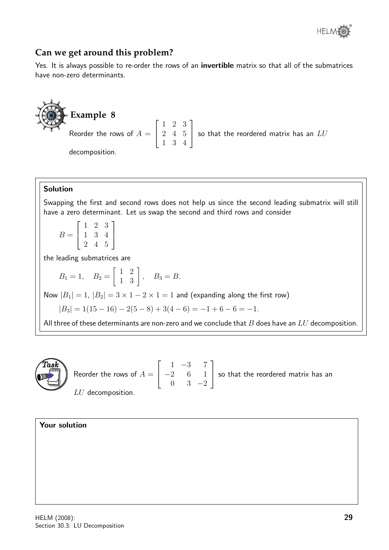

### **Can we get around this problem?**

Yes. It is always possible to re-order the rows of an **invertible** matrix so that all of the submatrices have non-zero determinants.

**Example 8** Reorder the rows of  $A =$  $\sqrt{ }$  $\overline{\phantom{a}}$ 1 2 3 2 4 5 1 3 4 1 so that the reordered matrix has an  $LU$ decomposition.

#### Solution

Swapping the first and second rows does not help us since the second leading submatrix will still have a zero determinant. Let us swap the second and third rows and consider

 $B =$  $\sqrt{ }$  $\overline{\phantom{a}}$ 1 2 3 1 3 4 2 4 5 1  $\overline{1}$ 

the leading submatrices are

 $B_1 = 1, \quad B_2 =$  $\begin{bmatrix} 1 & 2 \\ 1 & 3 \end{bmatrix}$ ,  $B_3 = B$ .

Now  $|B_1| = 1$ ,  $|B_2| = 3 \times 1 - 2 \times 1 = 1$  and (expanding along the first row)

 $|B_3| = 1(15 - 16) - 2(5 - 8) + 3(4 - 6) = -1 + 6 - 6 = -1.$ 

All three of these determinants are non-zero and we conclude that  $B$  does have an  $LU$  decomposition.



Reorder the rows of  $A=\,$  $\sqrt{ }$  $\overline{\phantom{a}}$ 1 −3 7 −2 6 1 0 3 −2 1 so that the reordered matrix has an LU decomposition.

Your solution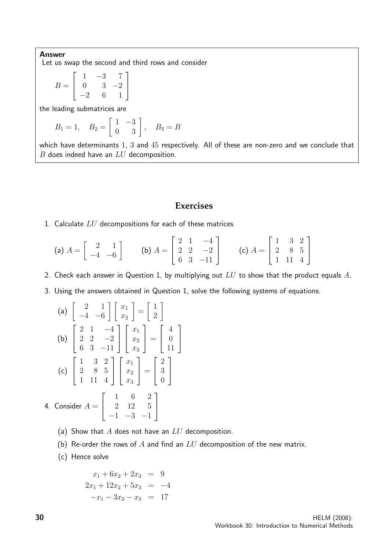Answer Let us swap the second and third rows and consider

$$
B = \left[ \begin{array}{rrr} 1 & -3 & 7 \\ 0 & 3 & -2 \\ -2 & 6 & 1 \end{array} \right]
$$

the leading submatrices are

$$
B_1 = 1
$$
,  $B_2 = \begin{bmatrix} 1 & -3 \\ 0 & 3 \end{bmatrix}$ ,  $B_3 = B$ 

which have determinants 1, 3 and 45 respectively. All of these are non-zero and we conclude that B does indeed have an LU decomposition.

#### **Exercises**

1. Calculate  $LU$  decompositions for each of these matrices

(a) 
$$
A = \begin{bmatrix} 2 & 1 \\ -4 & -6 \end{bmatrix}
$$
 (b)  $A = \begin{bmatrix} 2 & 1 & -4 \\ 2 & 2 & -2 \\ 6 & 3 & -11 \end{bmatrix}$  (c)  $A = \begin{bmatrix} 1 & 3 & 2 \\ 2 & 8 & 5 \\ 1 & 11 & 4 \end{bmatrix}$ 

2. Check each answer in Question 1, by multiplying out  $LU$  to show that the product equals  $A$ .

3. Using the answers obtained in Question 1, solve the following systems of equations.

(a) 
$$
\begin{bmatrix} 2 & 1 \\ -4 & -6 \end{bmatrix} \begin{bmatrix} x_1 \\ x_2 \end{bmatrix} = \begin{bmatrix} 1 \\ 2 \end{bmatrix}
$$
  
\n(b)  $\begin{bmatrix} 2 & 1 & -4 \\ 2 & 2 & -2 \\ 6 & 3 & -11 \end{bmatrix} \begin{bmatrix} x_1 \\ x_2 \\ x_3 \end{bmatrix} = \begin{bmatrix} 4 \\ 0 \\ 11 \end{bmatrix}$   
\n(c)  $\begin{bmatrix} 1 & 3 & 2 \\ 2 & 8 & 5 \\ 1 & 11 & 4 \end{bmatrix} \begin{bmatrix} x_1 \\ x_2 \\ x_3 \end{bmatrix} = \begin{bmatrix} 2 \\ 3 \\ 0 \end{bmatrix}$   
\n4. Consider  $A = \begin{bmatrix} 1 & 6 & 2 \\ 2 & 12 & 5 \\ -1 & -3 & -1 \end{bmatrix}$ 

- (a) Show that  $A$  does not have an  $LU$  decomposition.
- (b) Re-order the rows of  $A$  and find an  $LU$  decomposition of the new matrix.
- (c) Hence solve

$$
x_1 + 6x_2 + 2x_3 = 9
$$
  

$$
2x_1 + 12x_2 + 5x_3 = -4
$$
  

$$
-x_1 - 3x_2 - x_3 = 17
$$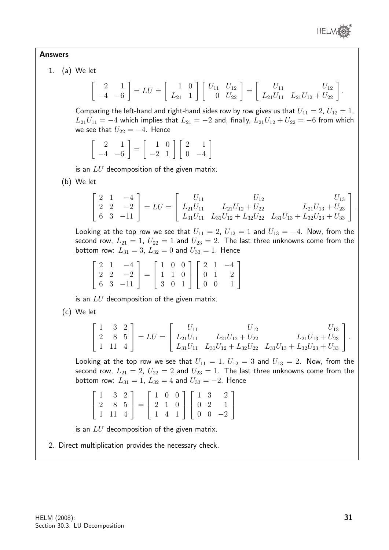

#### Answers

1. (a) We let

$$
\begin{bmatrix} 2 & 1 \ -4 & -6 \end{bmatrix} = LU = \begin{bmatrix} 1 & 0 \ L_{21} & 1 \end{bmatrix} \begin{bmatrix} U_{11} & U_{12} \ 0 & U_{22} \end{bmatrix} = \begin{bmatrix} U_{11} & U_{12} \ L_{21}U_{11} & L_{21}U_{12} + U_{22} \end{bmatrix}.
$$

Comparing the left-hand and right-hand sides row by row gives us that  $U_{11} = 2$ ,  $U_{12} = 1$ ,  $L_{21}U_{11} = -4$  which implies that  $L_{21} = -2$  and, finally,  $L_{21}U_{12} + U_{22} = -6$  from which we see that  $U_{22} = -4$ . Hence

$$
\left[\begin{array}{cc}2 & 1\\-4 & -6\end{array}\right] = \left[\begin{array}{cc}1 & 0\\-2 & 1\end{array}\right] \left[\begin{array}{cc}2 & 1\\0 & -4\end{array}\right]
$$

is an  $LU$  decomposition of the given matrix.

(b) We let

$$
\begin{bmatrix} 2 & 1 & -4 \ 2 & 2 & -2 \ 6 & 3 & -11 \end{bmatrix} = LU = \begin{bmatrix} U_{11} & U_{12} & U_{13} \ L_{21}U_{11} & L_{21}U_{12} + U_{22} & L_{21}U_{13} + U_{23} \ L_{31}U_{11} & L_{31}U_{12} + L_{32}U_{22} & L_{31}U_{13} + L_{32}U_{23} + U_{33} \end{bmatrix}.
$$

Looking at the top row we see that  $U_{11} = 2$ ,  $U_{12} = 1$  and  $U_{13} = -4$ . Now, from the second row,  $L_{21} = 1$ ,  $U_{22} = 1$  and  $U_{23} = 2$ . The last three unknowns come from the bottom row:  $L_{31} = 3$ ,  $L_{32} = 0$  and  $U_{33} = 1$ . Hence

$$
\begin{bmatrix} 2 & 1 & -4 \ 2 & 2 & -2 \ 6 & 3 & -11 \end{bmatrix} = \begin{bmatrix} 1 & 0 & 0 \ 1 & 1 & 0 \ 3 & 0 & 1 \end{bmatrix} \begin{bmatrix} 2 & 1 & -4 \ 0 & 1 & 2 \ 0 & 0 & 1 \end{bmatrix}
$$

is an  $LU$  decomposition of the given matrix.

(c) We let

$$
\begin{bmatrix} 1 & 3 & 2 \ 2 & 8 & 5 \ 1 & 11 & 4 \end{bmatrix} = LU = \begin{bmatrix} U_{11} & U_{12} & U_{13} \ L_{21}U_{11} & L_{21}U_{12} + U_{22} & L_{21}U_{13} + U_{23} \ L_{31}U_{11} & L_{31}U_{12} + L_{32}U_{22} & L_{31}U_{13} + L_{32}U_{23} + U_{33} \end{bmatrix}.
$$

Looking at the top row we see that  $U_{11} = 1$ ,  $U_{12} = 3$  and  $U_{13} = 2$ . Now, from the second row,  $L_{21} = 2$ ,  $U_{22} = 2$  and  $U_{23} = 1$ . The last three unknowns come from the bottom row:  $L_{31} = 1$ ,  $L_{32} = 4$  and  $U_{33} = -2$ . Hence

$$
\begin{bmatrix} 1 & 3 & 2 \ 2 & 8 & 5 \ 1 & 11 & 4 \end{bmatrix} = \begin{bmatrix} 1 & 0 & 0 \ 2 & 1 & 0 \ 1 & 4 & 1 \end{bmatrix} \begin{bmatrix} 1 & 3 & 2 \ 0 & 2 & 1 \ 0 & 0 & -2 \end{bmatrix}
$$

is an  $LU$  decomposition of the given matrix.

2. Direct multiplication provides the necessary check.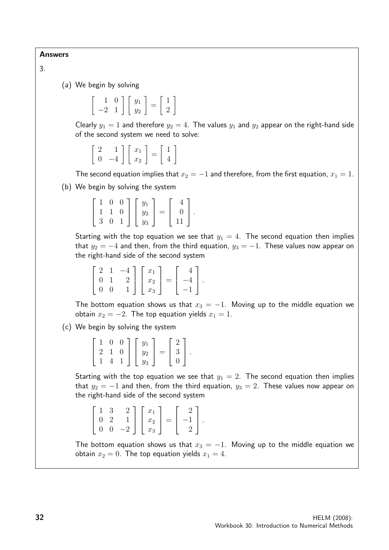Answers

3.

(a) We begin by solving

 $\left[\begin{array}{cc} 1 & 0 \\ -2 & 1 \end{array}\right] \left[\begin{array}{c} y_1 \\ y_2 \end{array}\right]$ 1 =  $\lceil 1 \rceil$ 2 1

Clearly  $y_1 = 1$  and therefore  $y_2 = 4$ . The values  $y_1$  and  $y_2$  appear on the right-hand side of the second system we need to solve:

 $\begin{bmatrix} 2 & 1 \end{bmatrix}$  $0 -4$  $\lceil x_1 \rceil$  $\overline{x_2}$ 1 =  $\lceil 1 \rceil$ 4 1

The second equation implies that  $x_2 = -1$  and therefore, from the first equation,  $x_1 = 1$ .

(b) We begin by solving the system

 $\sqrt{ }$  $\overline{\phantom{a}}$ 1 0 0 1 1 0 3 0 1 1  $\overline{1}$  $\sqrt{ }$  $\overline{\phantom{a}}$  $y_1$  $y_2$  $y_3$ 1  $\Big\} =$  $\sqrt{ }$  $\overline{\phantom{a}}$ 4 0 11 1  $\vert \cdot$ 

Starting with the top equation we see that  $y_1 = 4$ . The second equation then implies that  $y_2 = -4$  and then, from the third equation,  $y_3 = -1$ . These values now appear on the right-hand side of the second system

|                                                |                                                                                                                                                                                                              |  | $\vert -4 \vert$ . |  |
|------------------------------------------------|--------------------------------------------------------------------------------------------------------------------------------------------------------------------------------------------------------------|--|--------------------|--|
| $\begin{pmatrix} 0 & 0 \\ 0 & 0 \end{pmatrix}$ | $\left[\begin{array}{ccc} 2 & 1 & -4 \\ 0 & 1 & 2 \\ 0 & 0 & 1 \end{array}\right] \left[\begin{array}{c} x_1 \\ x_2 \\ x_3 \end{array}\right] = \left[\begin{array}{c} x_1 \\ x_2 \\ x_4 \end{array}\right]$ |  | $\vert -1 \vert$   |  |

The bottom equation shows us that  $x_3 = -1$ . Moving up to the middle equation we obtain  $x_2 = -2$ . The top equation yields  $x_1 = 1$ .

(c) We begin by solving the system

|         | $0 \t 0$       | $y_1$ |     |   |  |
|---------|----------------|-------|-----|---|--|
| $\cdot$ | $\overline{0}$ | $y_2$ | $=$ | 3 |  |
|         |                | $y_3$ |     |   |  |

Starting with the top equation we see that  $y_1 = 2$ . The second equation then implies that  $y_2 = -1$  and then, from the third equation,  $y_3 = 2$ . These values now appear on the right-hand side of the second system

|  |      | $x_2$ | $=$ |  |
|--|------|-------|-----|--|
|  | $-2$ | $x_3$ |     |  |

The bottom equation shows us that  $x_3 = -1$ . Moving up to the middle equation we obtain  $x_2 = 0$ . The top equation yields  $x_1 = 4$ .